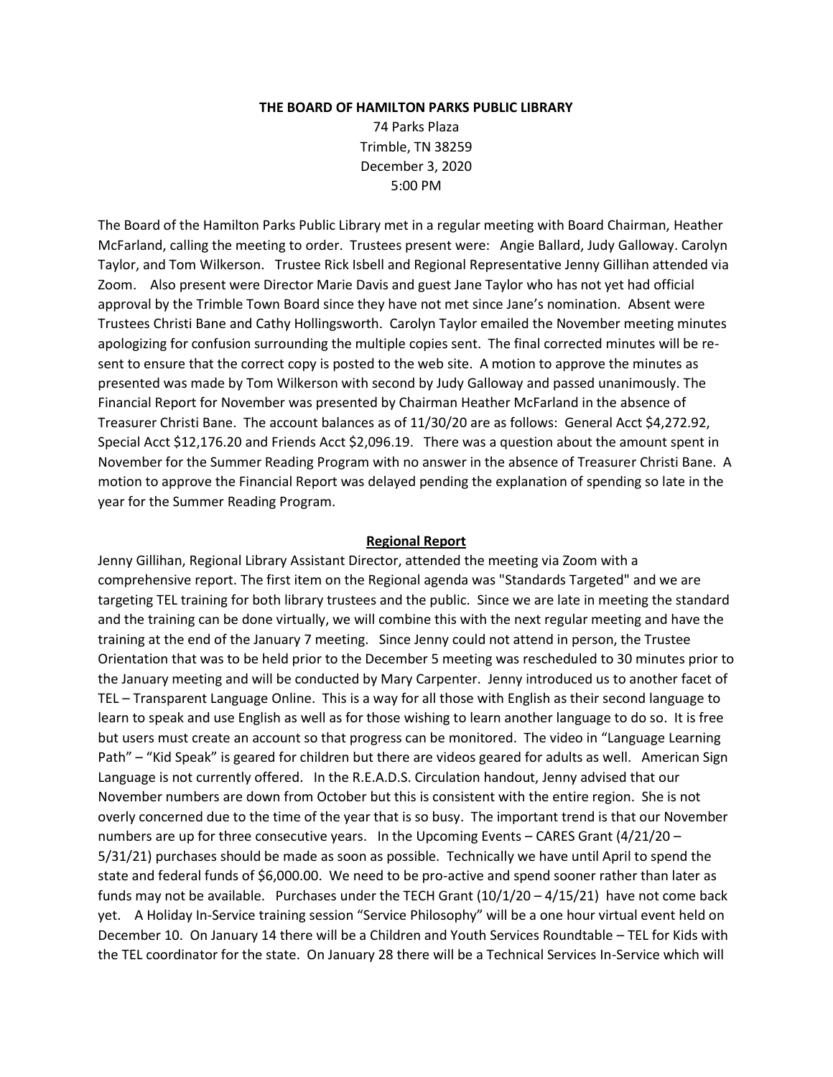#### **THE BOARD OF HAMILTON PARKS PUBLIC LIBRARY**

74 Parks Plaza Trimble, TN 38259 December 3, 2020 5:00 PM

The Board of the Hamilton Parks Public Library met in a regular meeting with Board Chairman, Heather McFarland, calling the meeting to order. Trustees present were: Angie Ballard, Judy Galloway. Carolyn Taylor, and Tom Wilkerson. Trustee Rick Isbell and Regional Representative Jenny Gillihan attended via Zoom. Also present were Director Marie Davis and guest Jane Taylor who has not yet had official approval by the Trimble Town Board since they have not met since Jane's nomination. Absent were Trustees Christi Bane and Cathy Hollingsworth. Carolyn Taylor emailed the November meeting minutes apologizing for confusion surrounding the multiple copies sent. The final corrected minutes will be resent to ensure that the correct copy is posted to the web site. A motion to approve the minutes as presented was made by Tom Wilkerson with second by Judy Galloway and passed unanimously. The Financial Report for November was presented by Chairman Heather McFarland in the absence of Treasurer Christi Bane. The account balances as of 11/30/20 are as follows: General Acct \$4,272.92, Special Acct \$12,176.20 and Friends Acct \$2,096.19. There was a question about the amount spent in November for the Summer Reading Program with no answer in the absence of Treasurer Christi Bane. A motion to approve the Financial Report was delayed pending the explanation of spending so late in the year for the Summer Reading Program.

#### **Regional Report**

Jenny Gillihan, Regional Library Assistant Director, attended the meeting via Zoom with a comprehensive report. The first item on the Regional agenda was "Standards Targeted" and we are targeting TEL training for both library trustees and the public. Since we are late in meeting the standard and the training can be done virtually, we will combine this with the next regular meeting and have the training at the end of the January 7 meeting. Since Jenny could not attend in person, the Trustee Orientation that was to be held prior to the December 5 meeting was rescheduled to 30 minutes prior to the January meeting and will be conducted by Mary Carpenter. Jenny introduced us to another facet of TEL – Transparent Language Online. This is a way for all those with English as their second language to learn to speak and use English as well as for those wishing to learn another language to do so. It is free but users must create an account so that progress can be monitored. The video in "Language Learning Path" – "Kid Speak" is geared for children but there are videos geared for adults as well. American Sign Language is not currently offered. In the R.E.A.D.S. Circulation handout, Jenny advised that our November numbers are down from October but this is consistent with the entire region. She is not overly concerned due to the time of the year that is so busy. The important trend is that our November numbers are up for three consecutive years. In the Upcoming Events – CARES Grant (4/21/20 – 5/31/21) purchases should be made as soon as possible. Technically we have until April to spend the state and federal funds of \$6,000.00. We need to be pro-active and spend sooner rather than later as funds may not be available. Purchases under the TECH Grant  $(10/1/20 - 4/15/21)$  have not come back yet. A Holiday In-Service training session "Service Philosophy" will be a one hour virtual event held on December 10. On January 14 there will be a Children and Youth Services Roundtable – TEL for Kids with the TEL coordinator for the state. On January 28 there will be a Technical Services In-Service which will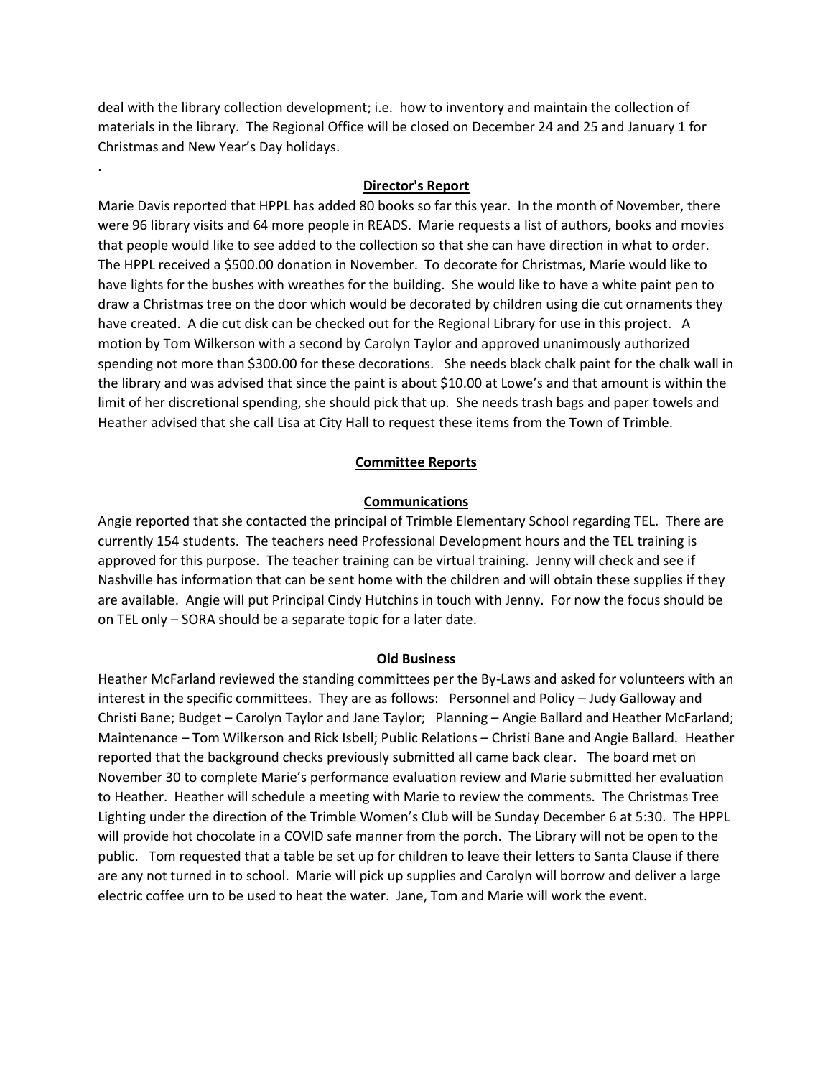deal with the library collection development; i.e. how to inventory and maintain the collection of materials in the library. The Regional Office will be closed on December 24 and 25 and January 1 for Christmas and New Year's Day holidays.

.

# **Director's Report**

Marie Davis reported that HPPL has added 80 books so far this year. In the month of November, there were 96 library visits and 64 more people in READS. Marie requests a list of authors, books and movies that people would like to see added to the collection so that she can have direction in what to order. The HPPL received a \$500.00 donation in November. To decorate for Christmas, Marie would like to have lights for the bushes with wreathes for the building. She would like to have a white paint pen to draw a Christmas tree on the door which would be decorated by children using die cut ornaments they have created. A die cut disk can be checked out for the Regional Library for use in this project. A motion by Tom Wilkerson with a second by Carolyn Taylor and approved unanimously authorized spending not more than \$300.00 for these decorations. She needs black chalk paint for the chalk wall in the library and was advised that since the paint is about \$10.00 at Lowe's and that amount is within the limit of her discretional spending, she should pick that up. She needs trash bags and paper towels and Heather advised that she call Lisa at City Hall to request these items from the Town of Trimble.

## **Committee Reports**

## **Communications**

Angie reported that she contacted the principal of Trimble Elementary School regarding TEL. There are currently 154 students. The teachers need Professional Development hours and the TEL training is approved for this purpose. The teacher training can be virtual training. Jenny will check and see if Nashville has information that can be sent home with the children and will obtain these supplies if they are available. Angie will put Principal Cindy Hutchins in touch with Jenny. For now the focus should be on TEL only – SORA should be a separate topic for a later date.

#### **Old Business**

Heather McFarland reviewed the standing committees per the By-Laws and asked for volunteers with an interest in the specific committees. They are as follows: Personnel and Policy – Judy Galloway and Christi Bane; Budget – Carolyn Taylor and Jane Taylor; Planning – Angie Ballard and Heather McFarland; Maintenance – Tom Wilkerson and Rick Isbell; Public Relations – Christi Bane and Angie Ballard. Heather reported that the background checks previously submitted all came back clear. The board met on November 30 to complete Marie's performance evaluation review and Marie submitted her evaluation to Heather. Heather will schedule a meeting with Marie to review the comments. The Christmas Tree Lighting under the direction of the Trimble Women's Club will be Sunday December 6 at 5:30. The HPPL will provide hot chocolate in a COVID safe manner from the porch. The Library will not be open to the public. Tom requested that a table be set up for children to leave their letters to Santa Clause if there are any not turned in to school. Marie will pick up supplies and Carolyn will borrow and deliver a large electric coffee urn to be used to heat the water. Jane, Tom and Marie will work the event.